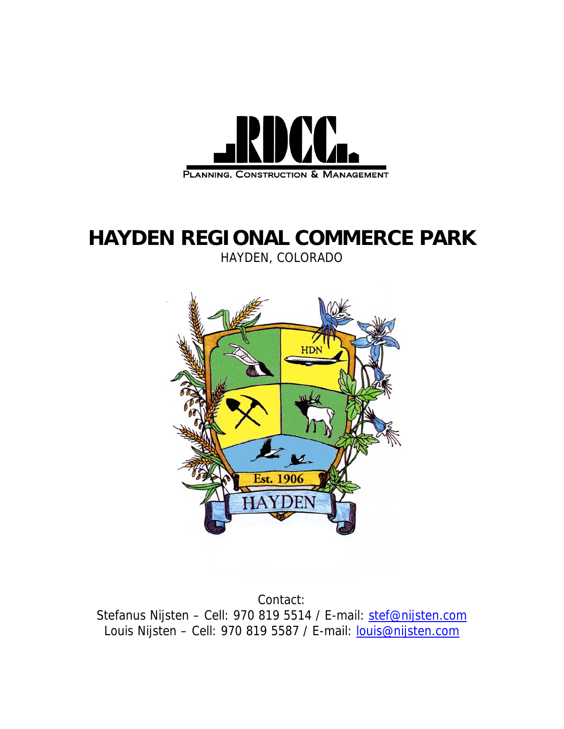

## **HAYDEN REGIONAL COMMERCE PARK**

HAYDEN, COLORADO



Contact: Stefanus Nijsten - Cell: 970 819 5514 / E-mail: [stef@nijsten.com](mailto:stef@nijsten.com) Louis Nijsten - Cell: 970 819 5587 / E-mail: **[louis@nijsten.com](mailto:louis@nijsten.com)**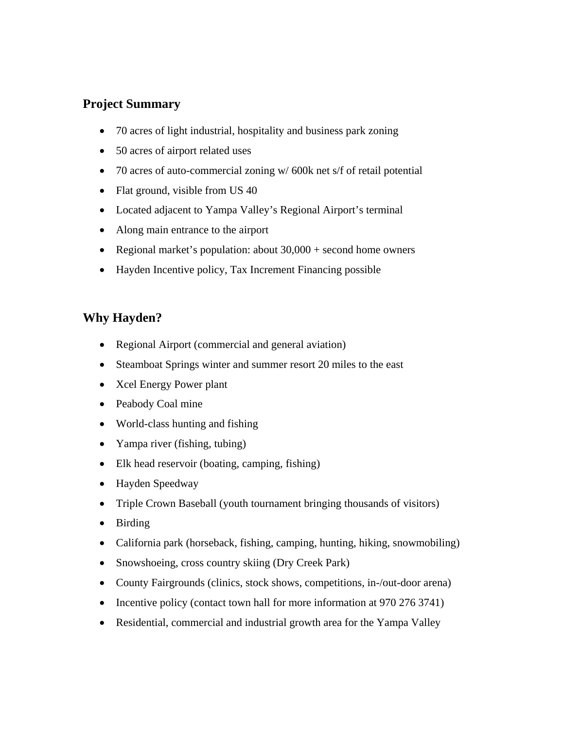## **Project Summary**

- 70 acres of light industrial, hospitality and business park zoning
- 50 acres of airport related uses
- 70 acres of auto-commercial zoning w/ 600k net s/f of retail potential
- Flat ground, visible from US 40
- Located adjacent to Yampa Valley's Regional Airport's terminal
- Along main entrance to the airport
- Regional market's population: about 30,000 + second home owners
- Hayden Incentive policy, Tax Increment Financing possible

## **Why Hayden?**

- Regional Airport (commercial and general aviation)
- Steamboat Springs winter and summer resort 20 miles to the east
- Xcel Energy Power plant
- Peabody Coal mine
- World-class hunting and fishing
- Yampa river (fishing, tubing)
- Elk head reservoir (boating, camping, fishing)
- Hayden Speedway
- Triple Crown Baseball (youth tournament bringing thousands of visitors)
- Birding
- California park (horseback, fishing, camping, hunting, hiking, snowmobiling)
- Snowshoeing, cross country skiing (Dry Creek Park)
- County Fairgrounds (clinics, stock shows, competitions, in-/out-door arena)
- Incentive policy (contact town hall for more information at 970 276 3741)
- Residential, commercial and industrial growth area for the Yampa Valley